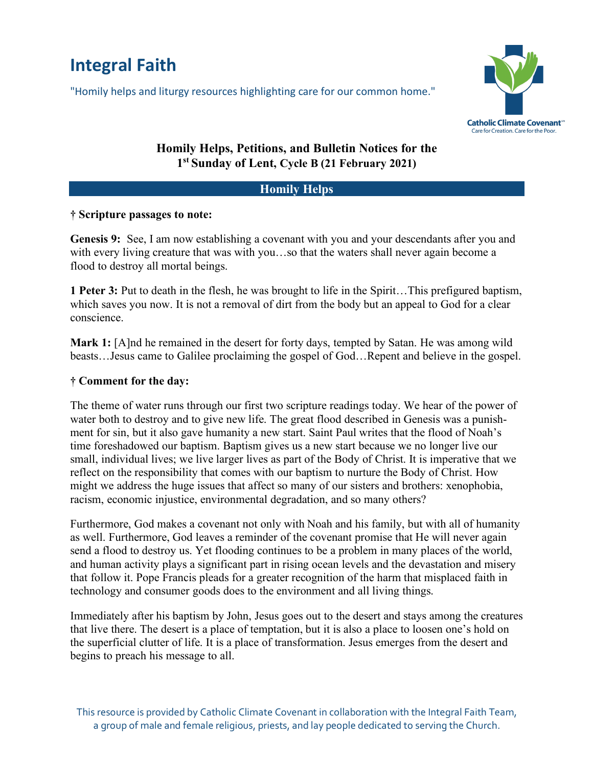# **Integral Faith**

"Homily helps and liturgy resources highlighting care for our common home."



# **Homily Helps, Petitions, and Bulletin Notices for the 1st Sunday of Lent, Cycle B (21 February 2021)**

#### **Homily Helps**

#### **† Scripture passages to note:**

**Genesis 9:** See, I am now establishing a covenant with you and your descendants after you and with every living creature that was with you…so that the waters shall never again become a flood to destroy all mortal beings.

**1 Peter 3:** Put to death in the flesh, he was brought to life in the Spirit…This prefigured baptism, which saves you now. It is not a removal of dirt from the body but an appeal to God for a clear conscience.

**Mark 1:** [A]nd he remained in the desert for forty days, tempted by Satan. He was among wild beasts…Jesus came to Galilee proclaiming the gospel of God…Repent and believe in the gospel.

### **† Comment for the day:**

The theme of water runs through our first two scripture readings today. We hear of the power of water both to destroy and to give new life. The great flood described in Genesis was a punishment for sin, but it also gave humanity a new start. Saint Paul writes that the flood of Noah's time foreshadowed our baptism. Baptism gives us a new start because we no longer live our small, individual lives; we live larger lives as part of the Body of Christ. It is imperative that we reflect on the responsibility that comes with our baptism to nurture the Body of Christ. How might we address the huge issues that affect so many of our sisters and brothers: xenophobia, racism, economic injustice, environmental degradation, and so many others?

Furthermore, God makes a covenant not only with Noah and his family, but with all of humanity as well. Furthermore, God leaves a reminder of the covenant promise that He will never again send a flood to destroy us. Yet flooding continues to be a problem in many places of the world, and human activity plays a significant part in rising ocean levels and the devastation and misery that follow it. Pope Francis pleads for a greater recognition of the harm that misplaced faith in technology and consumer goods does to the environment and all living things.

Immediately after his baptism by John, Jesus goes out to the desert and stays among the creatures that live there. The desert is a place of temptation, but it is also a place to loosen one's hold on the superficial clutter of life. It is a place of transformation. Jesus emerges from the desert and begins to preach his message to all.